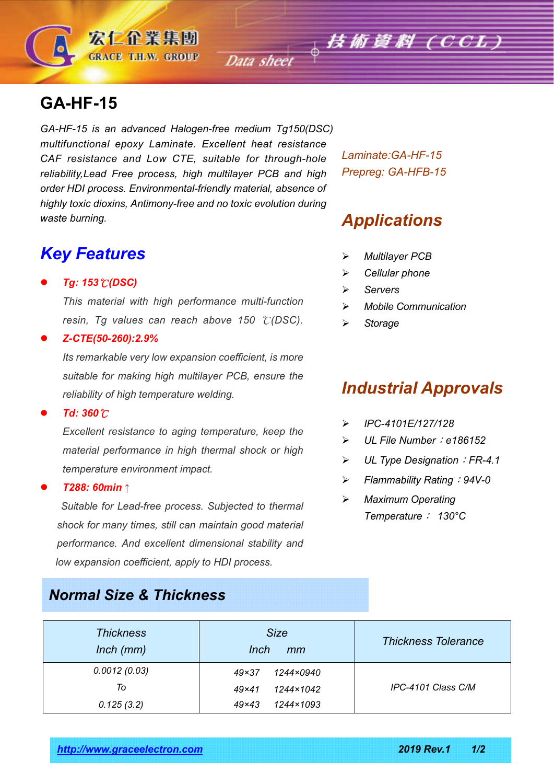# **GA-HF-15**

*GA-HF-15 is an advanced Halogen-free medium Tg150(DSC) multifunctional epoxy Laminate. Excellent heat resistance CAF resistance and Low CTE, suitable for through-hole reliability,Lead Free process, high multilayer PCB and high order HDI process. Environmental-friendly material, absence of highly toxic dioxins, Antimony-free and no toxic evolution during waste burning.*

宏仁企業集團 **GRACE T.H.W. GROUP** 

### *Key Features*

#### *Tg: 153*℃*(DSC)*

*This material with high performance multi-function resin, Tg values can reach above 150* ℃*(DSC).*

#### *Z-CTE(50-260):2.9%*

*Its remarkable very low expansion coefficient, is more suitable for making high multilayer PCB, ensure the reliability of high temperature welding.*

#### *Td: 360*℃

*Excellent resistance to aging temperature, keep the material performance in high thermal shock or high temperature environment impact.*

#### *T288: 60min* ↑

 *Suitable for Lead-free process. Subjected to thermal shock for many times, still can maintain good material performance. And excellent dimensional stability and low expansion coefficient, apply to HDI process.*

### *Normal Size & Thickness*

*Laminate:GA-HF-15 Prepreg: GA-HFB-15*

## *Applications*

- *Multilayer PCB*
- *Cellular phone*
- *Servers*
- *Mobile Communication*
- *Storage*

# *Industrial Approvals*

- *IPC-4101E/127/128*
- *UL File Number*:*e186152*
- *UL Type Designation*:*FR-4.1*
- *Flammability Rating*:*94V-0*
- *Maximum Operating Temperature*: *130°C*

| <b>Thickness</b><br>$lnch$ ( $mm$ ) | <b>Size</b><br><i>Inch</i><br>mm | <b>Thickness Tolerance</b> |  |
|-------------------------------------|----------------------------------|----------------------------|--|
| 0.0012(0.03)                        | $49\times37$<br>1244×0940        |                            |  |
| To                                  | 1244×1042<br>$49\times41$        | IPC-4101 Class C/M         |  |
| 0.125(3.2)                          | 1244×1093<br>$49\times43$        |                            |  |